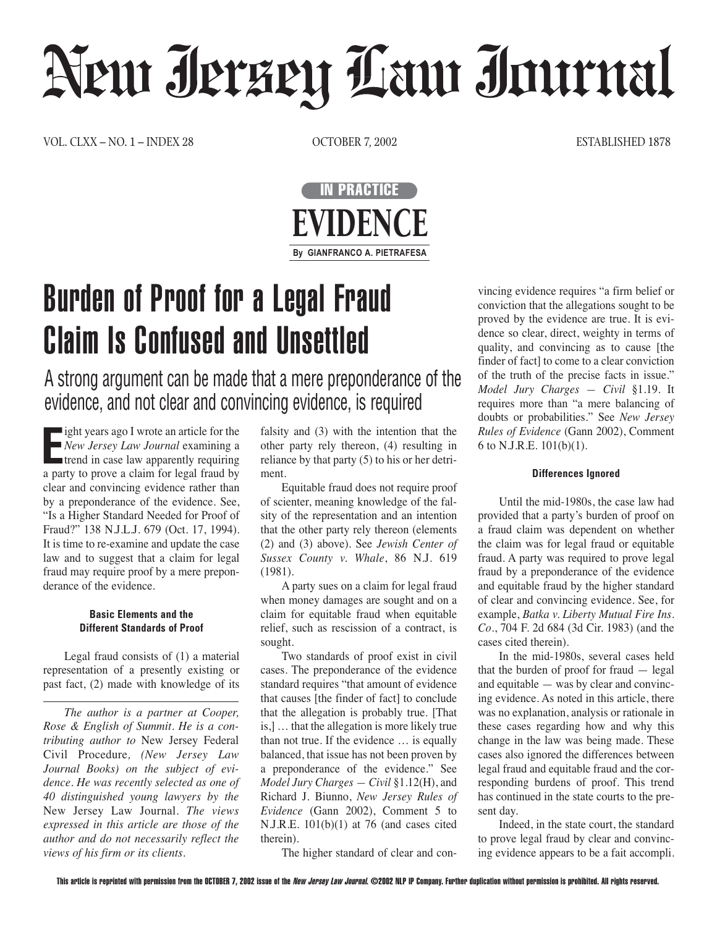# Neur Jerzey Law Journal

VOL. CLXX – NO. 1 – INDEX 28 OCTOBER 7, 2002 ESTABLISHED 1878



## Burden of Proof for a Legal Fraud Claim Is Confused and Unsettled

A strong argument can be made that a mere preponderance of the evidence, and not clear and convincing evidence, is required

**E** ight years ago I wrote an article for the *New Jersey Law Journal* examining a trend in case law apparently requiring a party to prove a claim for legal fraud by clear and convincing evidence rather than by a preponderance of the evidence. See, "Is a Higher Standard Needed for Proof of Fraud?" 138 N.J.L.J. 679 (Oct. 17, 1994). It is time to re-examine and update the case law and to suggest that a claim for legal fraud may require proof by a mere preponderance of the evidence.

### **Basic Elements and the Different Standards of Proof**

Legal fraud consists of (1) a material representation of a presently existing or past fact, (2) made with knowledge of its

*The author is a partner at Cooper, Rose & English of Summit. He is a contributing author to* New Jersey Federal Civil Procedure*, (New Jersey Law Journal Books) on the subject of evidence. He was recently selected as one of 40 distinguished young lawyers by the* New Jersey Law Journal*. The views expressed in this article are those of the author and do not necessarily reflect the views of his firm or its clients.*

falsity and (3) with the intention that the other party rely thereon, (4) resulting in reliance by that party (5) to his or her detriment.

Equitable fraud does not require proof of scienter, meaning knowledge of the falsity of the representation and an intention that the other party rely thereon (elements (2) and (3) above). See *Jewish Center of Sussex County v. Whale*, 86 N.J. 619 (1981).

A party sues on a claim for legal fraud when money damages are sought and on a claim for equitable fraud when equitable relief, such as rescission of a contract, is sought.

Two standards of proof exist in civil cases. The preponderance of the evidence standard requires "that amount of evidence that causes [the finder of fact] to conclude that the allegation is probably true. [That is,] … that the allegation is more likely true than not true. If the evidence … is equally balanced, that issue has not been proven by a preponderance of the evidence." See *Model Jury Charges — Civil* §1.12(H), and Richard J. Biunno, *New Jersey Rules of Evidence* (Gann 2002), Comment 5 to N.J.R.E. 101(b)(1) at 76 (and cases cited therein).

vincing evidence requires "a firm belief or conviction that the allegations sought to be proved by the evidence are true. It is evidence so clear, direct, weighty in terms of quality, and convincing as to cause [the finder of fact] to come to a clear conviction of the truth of the precise facts in issue." *Model Jury Charges — Civil* §1.19. It requires more than "a mere balancing of doubts or probabilities." See *New Jersey Rules of Evidence* (Gann 2002), Comment 6 to N.J.R.E. 101(b)(1).

#### **Differences Ignored**

Until the mid-1980s, the case law had provided that a party's burden of proof on a fraud claim was dependent on whether the claim was for legal fraud or equitable fraud. A party was required to prove legal fraud by a preponderance of the evidence and equitable fraud by the higher standard of clear and convincing evidence. See, for example, *Batka v. Liberty Mutual Fire Ins. Co.*, 704 F. 2d 684 (3d Cir. 1983) (and the cases cited therein).

In the mid-1980s, several cases held that the burden of proof for fraud — legal and equitable — was by clear and convincing evidence. As noted in this article, there was no explanation, analysis or rationale in these cases regarding how and why this change in the law was being made. These cases also ignored the differences between legal fraud and equitable fraud and the corresponding burdens of proof. This trend has continued in the state courts to the present day.

Indeed, in the state court, the standard to prove legal fraud by clear and convincing evidence appears to be a fait accompli.

The higher standard of clear and con-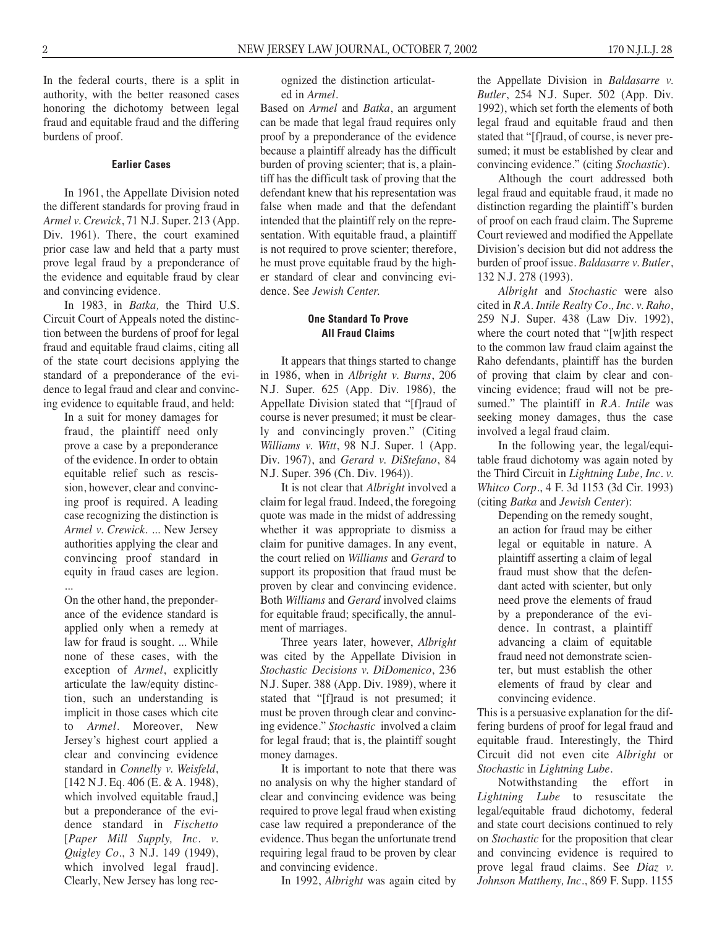In the federal courts, there is a split in authority, with the better reasoned cases honoring the dichotomy between legal fraud and equitable fraud and the differing burdens of proof.

#### **Earlier Cases**

In 1961, the Appellate Division noted the different standards for proving fraud in *Armel v. Crewick*, 71 N.J. Super. 213 (App. Div. 1961). There, the court examined prior case law and held that a party must prove legal fraud by a preponderance of the evidence and equitable fraud by clear and convincing evidence.

In 1983, in *Batka,* the Third U.S. Circuit Court of Appeals noted the distinction between the burdens of proof for legal fraud and equitable fraud claims, citing all of the state court decisions applying the standard of a preponderance of the evidence to legal fraud and clear and convincing evidence to equitable fraud, and held:

In a suit for money damages for fraud, the plaintiff need only prove a case by a preponderance of the evidence. In order to obtain equitable relief such as rescission, however, clear and convincing proof is required. A leading case recognizing the distinction is *Armel v. Crewick.* ... New Jersey authorities applying the clear and convincing proof standard in equity in fraud cases are legion. ...

On the other hand, the preponderance of the evidence standard is applied only when a remedy at law for fraud is sought. ... While none of these cases, with the exception of *Armel*, explicitly articulate the law/equity distinction, such an understanding is implicit in those cases which cite to *Armel*. Moreover, New Jersey's highest court applied a clear and convincing evidence standard in *Connelly v. Weisfeld*, [142 N.J. Eq. 406 (E. & A. 1948), which involved equitable fraud,] but a preponderance of the evidence standard in *Fischetto* [*Paper Mill Supply, Inc. v. Quigley Co.*, 3 N.J. 149 (1949), which involved legal fraud]. Clearly, New Jersey has long recognized the distinction articulated in *Armel*.

Based on *Armel* and *Batka*, an argument can be made that legal fraud requires only proof by a preponderance of the evidence because a plaintiff already has the difficult burden of proving scienter; that is, a plaintiff has the difficult task of proving that the defendant knew that his representation was false when made and that the defendant intended that the plaintiff rely on the representation. With equitable fraud, a plaintiff is not required to prove scienter; therefore, he must prove equitable fraud by the higher standard of clear and convincing evidence. See *Jewish Center.*

#### **One Standard To Prove All Fraud Claims**

It appears that things started to change in 1986, when in *Albright v. Burns*, 206 N.J. Super. 625 (App. Div. 1986), the Appellate Division stated that "[f]raud of course is never presumed; it must be clearly and convincingly proven." (Citing *Williams v. Witt*, 98 N.J. Super. 1 (App. Div. 1967), and *Gerard v. DiStefano*, 84 N.J. Super. 396 (Ch. Div. 1964)).

It is not clear that *Albright* involved a claim for legal fraud. Indeed, the foregoing quote was made in the midst of addressing whether it was appropriate to dismiss a claim for punitive damages. In any event, the court relied on *Williams* and *Gerard* to support its proposition that fraud must be proven by clear and convincing evidence. Both *Williams* and *Gerard* involved claims for equitable fraud; specifically, the annulment of marriages.

Three years later, however, *Albright* was cited by the Appellate Division in *Stochastic Decisions v. DiDomenico*, 236 N.J. Super. 388 (App. Div. 1989), where it stated that "[f]raud is not presumed; it must be proven through clear and convincing evidence." *Stochastic* involved a claim for legal fraud; that is, the plaintiff sought money damages.

It is important to note that there was no analysis on why the higher standard of clear and convincing evidence was being required to prove legal fraud when existing case law required a preponderance of the evidence. Thus began the unfortunate trend requiring legal fraud to be proven by clear and convincing evidence.

In 1992, *Albright* was again cited by

the Appellate Division in *Baldasarre v. Butler*, 254 N.J. Super. 502 (App. Div. 1992), which set forth the elements of both legal fraud and equitable fraud and then stated that "[f]raud, of course, is never presumed; it must be established by clear and convincing evidence." (citing *Stochastic*).

Although the court addressed both legal fraud and equitable fraud, it made no distinction regarding the plaintiff's burden of proof on each fraud claim. The Supreme Court reviewed and modified the Appellate Division's decision but did not address the burden of proof issue. *Baldasarre v. Butler*, 132 N.J. 278 (1993).

*Albright* and *Stochastic* were also cited in *R.A. Intile Realty Co., Inc. v. Raho*, 259 N.J. Super. 438 (Law Div. 1992), where the court noted that "[w]ith respect to the common law fraud claim against the Raho defendants, plaintiff has the burden of proving that claim by clear and convincing evidence; fraud will not be presumed." The plaintiff in *R.A. Intile* was seeking money damages, thus the case involved a legal fraud claim.

In the following year, the legal/equitable fraud dichotomy was again noted by the Third Circuit in *Lightning Lube, Inc. v. Whitco Corp.*, 4 F. 3d 1153 (3d Cir. 1993) (citing *Batka* and *Jewish Center*):

Depending on the remedy sought, an action for fraud may be either legal or equitable in nature. A plaintiff asserting a claim of legal fraud must show that the defendant acted with scienter, but only need prove the elements of fraud by a preponderance of the evidence. In contrast, a plaintiff advancing a claim of equitable fraud need not demonstrate scienter, but must establish the other elements of fraud by clear and convincing evidence.

This is a persuasive explanation for the differing burdens of proof for legal fraud and equitable fraud. Interestingly, the Third Circuit did not even cite *Albright* or *Stochastic* in *Lightning Lube*.

Notwithstanding the effort in *Lightning Lube* to resuscitate the legal/equitable fraud dichotomy, federal and state court decisions continued to rely on *Stochastic* for the proposition that clear and convincing evidence is required to prove legal fraud claims. See *Diaz v. Johnson Mattheny, Inc.*, 869 F. Supp. 1155